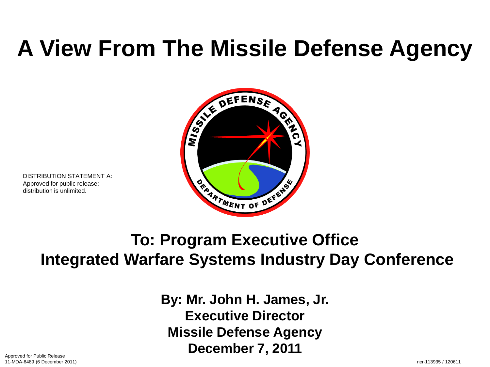# **A View From The Missile Defense Agency**



DISTRIBUTION STATEMENT A: Approved for public release; distribution is unlimited.

### **To: Program Executive Office Integrated Warfare Systems Industry Day Conference**

**By: Mr. John H. James, Jr. Executive Director Missile Defense Agency December 7, 2011**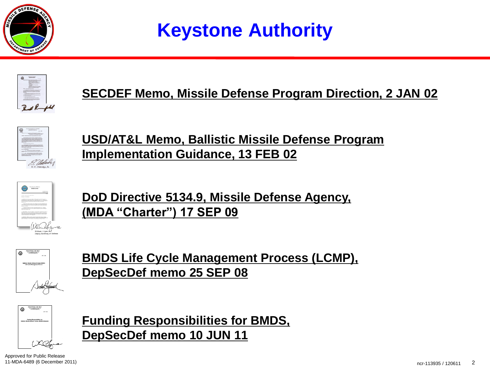

### **Keystone Authority**



#### **SECDEF Memo, Missile Defense Program Direction, 2 JAN 02**



**USD/AT&L Memo, Ballistic Missile Defense Program Implementation Guidance, 13 FEB 02**



**DoD Directive 5134.9, Missile Defense Agency, (MDA "Charter") 17 SEP 09**



**BMDS Life Cycle Management Process (LCMP), DepSecDef memo 25 SEP 08**

**Funding Responsibilities for BMDS,** 

**DepSecDef memo 10 JUN 11**



Approved for Public Release 11-MDA-6489 (6 December 2011)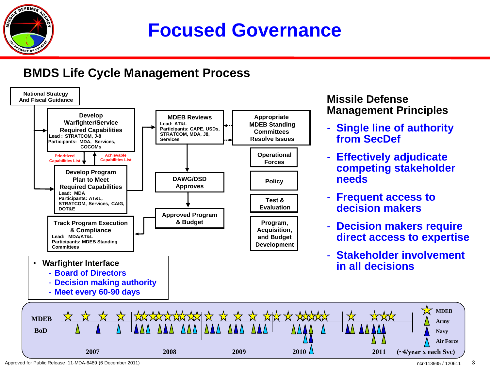

### **Focused Governance**

#### **BMDS Life Cycle Management Process**



## **Management Principles**

- **Single line of authority from SecDef**
- **Effectively adjudicate competing stakeholder needs**
- **Frequent access to decision makers**
- **Decision makers require direct access to expertise**
- **Stakeholder involvement in all decisions**

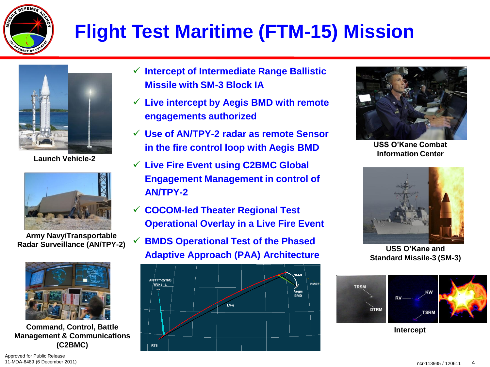

## **Flight Test Maritime (FTM-15) Mission**



**Launch Vehicle-2**



**Army Navy/Transportable Radar Surveillance (AN/TPY-2)**



**Command, Control, Battle Management & Communications (C2BMC)**

- **Intercept of Intermediate Range Ballistic Missile with SM-3 Block IA**
- **Live intercept by Aegis BMD with remote engagements authorized**
- **Use of AN/TPY-2 radar as remote Sensor in the fire control loop with Aegis BMD**
- **Live Fire Event using C2BMC Global Engagement Management in control of AN/TPY-2**
- **COCOM-led Theater Regional Test Operational Overlay in a Live Fire Event**
- **BMDS Operational Test of the Phased Adaptive Approach (PAA) Architecture**





**USS O'Kane Combat Information Center**



**USS O'Kane and Standard Missile-3 (SM-3)**



**Intercept**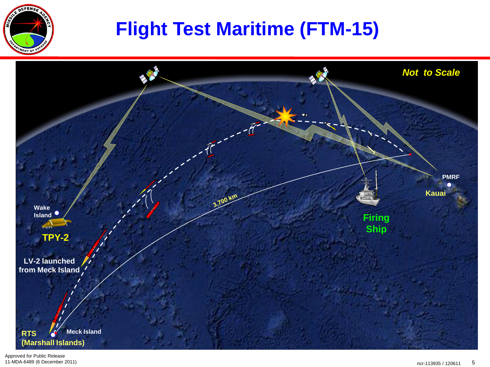

### **Flight Test Maritime (FTM-15)**